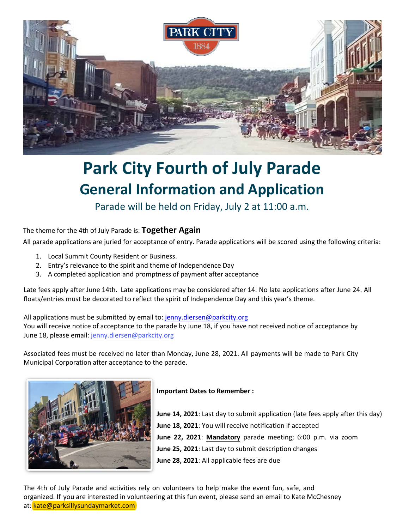

# **Park City Fourth of July Parade General Information and Application**

Parade will be held on Friday, July 2 at 11:00 a.m.

# The theme for the 4th of July Parade is: **Together Again**

All parade applications are juried for acceptance of entry. [Parade applications](mailto:joel@fineproperty.com) will be scored using the following criteria:

- 1. Local Summit County Resident or Business.
- 2. Entry's relevance to the spirit and theme of Independence Day
- 3. A completed application and promptness of payment after acceptance

Late fees apply after June 14th. Late applications may be considered after 14. No late applications after June 24. All floats/entries must be decorated to reflect the spirit of Independence Day and this year's theme.

All applications must be submitted by email to: jenny.[diersen@parkcity.org](mailto:jenny.diersen@parkcity.org) You will receive notice of acceptance to the parade by June 18, if you have not received notice of acceptance by June 18, please email: [jenny.diersen@parkcity.org](mailto:jenny.diersen@parkcity.org)

Associated fees must be received no later than Monday, June 28, 2021. All payments will be made to Park City Municipal C[orporation after](mailto:colleen.mcginn@parkcity.org) acceptance to the parade.



# **Important Dates to Remember :**

**June 14, 2021**: Last day to submit application (late fees apply after this day) **June 18, 2021**: You will receive notification if accepted **June 22, 2021**: **Mandatory** parade meeting; 6:00 p.m. via zoom **June 25, 2021**: Last day to submit description changes **June 28, 2021**: All applicable fees are due

The 4th of July Parade and activities rely on volunteers to help make the event fun, safe, and organized. If you are interested in volunteering at this fun event, please send an email to Kate McChesney at: [kate@parksillysundaymarket.com](mailto:kate@parksillysundaymarket.com)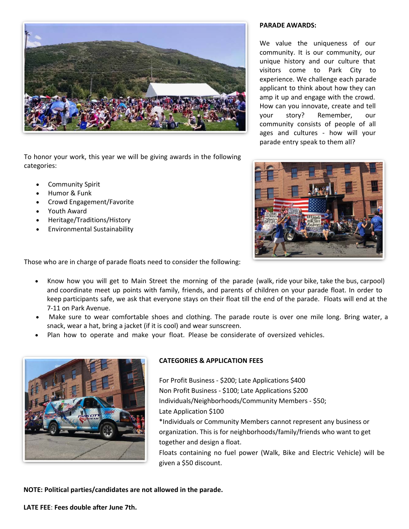

To honor your work, this year we will be giving awards in the following categories:

- Community Spirit
- Humor & Funk
- Crowd Engagement/Favorite
- Youth Award
- Heritage/Traditions/History
- Environmental Sustainability

#### **PARADE AWARDS:**

We value the uniqueness of our community. It is our community, our unique history and our culture that visitors come to Park City to experience. We challenge each parade applicant to think about how they can amp it up and engage with the crowd. How can you innovate, create and tell your story? Remember, our community consists of people of all ages and cultures - how will your parade entry speak to them all?



Those who are in charge of parade floats need to consider the following:

- Know how you will get to Main Street the morning of the parade (walk, ride your bike, take the bus, carpool) and coordinate meet up points with family, friends, and parents of children on your parade float. In order to keep participants safe, we ask that everyone stays on their float till the end of the parade. Floats will end at the 7-11 on Park Avenue.
- Make sure to wear comfortable shoes and clothing. The parade route is over one mile long. Bring water, a snack, wear a hat, bring a jacket (if it is cool) and wear sunscreen.
- Plan how to operate and make your float. Please be considerate of oversized vehicles.

given a \$50 discount.



# **CATEGORIES & APPLICATION FEES**

For Profit Business - \$200; Late Applications \$400 Non Profit Business - \$100; Late Applications \$200 Individuals/Neighborhoods/Community Members - \$50; Late Application \$100 \*Individuals or Community Members cannot represent any business or organization. This is for neighborhoods/family/friends who want to get together and design a float. Floats containing no fuel power (Walk, Bike and Electric Vehicle) will be

**NOTE: Political parties/candidates are not allowed in the parade.** 

**LATE FEE**: **Fees double after June 7th.**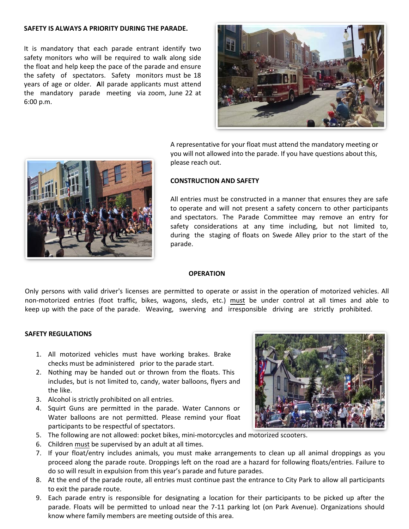#### **SAFETY IS ALWAYS A PRIORITY DURING THE PARADE.**

It is mandatory that each parade entrant identify two safety monitors who will be required to walk along side the float and help keep the pace of the parade and ensure the safety of spectators. Safety monitors must be 18 years of age or older. **A**ll parade applicants must attend the mandatory parade meeting via zoom, June 22 at 6:00 p.m.



A representative for your float must attend the mandatory meeting or you will not allowed into the parade. If you have questions about this, please reach out.

# **CONSTRUCTION AND SAFETY**

All entries must be constructed in a manner that ensures they are safe to operate and will not present a safety concern to other participants and spectators. The Parade Committee may remove an entry for safety considerations at any time including, but not limited to, during the staging of floats on Swede Alley prior to the start of the parade.

#### **OPERATION**

Only persons with valid driver's licenses are permitted to operate or assist in the operation of motorized vehicles. All non-motorized entries (foot traffic, bikes, wagons, sleds, etc.) must be under control at all times and able to keep up with the pace of the parade. Weaving, swerving and irresponsible driving are strictly prohibited.

#### **SAFETY REGULATIONS**

- 1. All motorized vehicles must have working brakes. Brake checks must be administered prior to the parade start.
- 2. Nothing may be handed out or thrown from the floats. This includes, but is not limited to, candy, water balloons, flyers and the like.
- 3. Alcohol is strictly prohibited on all entries.
- 4. Squirt Guns are permitted in the parade. Water Cannons or Water balloons are not permitted. Please remind your float participants to be respectful of spectators.
- 5. The following are not allowed: pocket bikes, mini-motorcycles and motorized scooters.
- 6. Children must be supervised by an adult at all times.
- 7. If your float/entry includes animals, you must make arrangements to clean up all animal droppings as you proceed along the parade route. Droppings left on the road are a hazard for following floats/entries. Failure to do so will result in expulsion from this year's parade and future parades.
- 8. At the end of the parade route, all entries must continue past the entrance to City Park to allow all participants to exit the parade route.
- 9. Each parade entry is responsible for designating a location for their participants to be picked up after the parade. Floats will be permitted to unload near the 7-11 parking lot (on Park Avenue). Organizations should know where family members are meeting outside of this area.



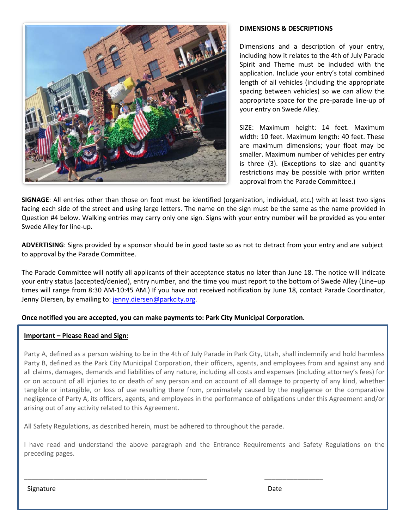

### **DIMENSIONS & DESCRIPTIONS**

Dimensions and a description of your entry, including how it relates to the 4th of July Parade Spirit and Theme must be included with the application. Include your entry's total combined length of all vehicles (including the appropriate spacing between vehicles) so we can allow the appropriate space for the pre-parade line-up of your entry on Swede Alley.

SIZE: Maximum height: 14 feet. Maximum width: 10 feet. Maximum length: 40 feet. These are maximum dimensions; your float may be smaller. Maximum number of vehicles per entry is three (3). (Exceptions to size and quantity restrictions may be possible with prior written approval from the Parade Committee.)

**SIGNAGE**: All entries other than those on foot must be identified (organization, individual, etc.) with at least two signs facing each side of the street and using large letters. The name on the sign must be the same as the name provided in Question #4 below. Walking entries may carry only one sign. Signs with your entry number will be provided as you enter Swede Alley for line-up.

**ADVERTISING**: Signs provided by a sponsor should be in good taste so as not to detract from your entry and are subject to approval by the Parade Committee.

The Parade Committee will notify all applicants of their acceptance status no later than June 18. The notice will indicate your entry status (accepted/denied), entry number, and the time you must report to the bottom of Swede Alley (Line–up times will range from 8:30 AM-10:45 AM.) If you have not received notification by June 18, contact Parade Coordinator, Jenny Diersen, by emailing to: [jenny.diersen@parkcity.org](mailto:jenny.diersen@parkcity.org).

#### **Once notified you are accepted, you can make payments to: Park City Municipal Corporation.**

#### **Important – Please Read and Sign:**

Party A, defined as a person wishing to be in the 4th of July Parade in Park City, Utah, shall indemnify and hold harmless Party B, defined as the Park City Municipal Corporation, their officers, agents, and employees from and against any and all claims, damages, demands and liabilities of any nature, including all costs and expenses (including attorney's fees) for or on account of all injuries to or death of any person and on account of all damage to property of any kind, whether tangible or intangible, or loss of use resulting there from, proximately caused by the negligence or the comparative negligence of Party A, its officers, agents, and employees in the performance of obligations under this Agreement and/or arising out of any activity related to this Agreement.

All Safety Regulations, as described herein, must be adhered to throughout the parade.

\_\_\_\_\_\_\_\_\_\_\_\_\_\_\_\_\_\_\_\_\_\_\_\_\_\_\_\_\_\_\_\_\_\_\_\_\_\_\_\_\_\_\_\_\_\_\_\_\_\_ \_\_\_\_\_\_\_\_\_\_\_\_\_\_\_\_

I have read and understand the above paragraph and the Entrance Requirements and Safety Regulations on the preceding pages.

Signature Date **Date**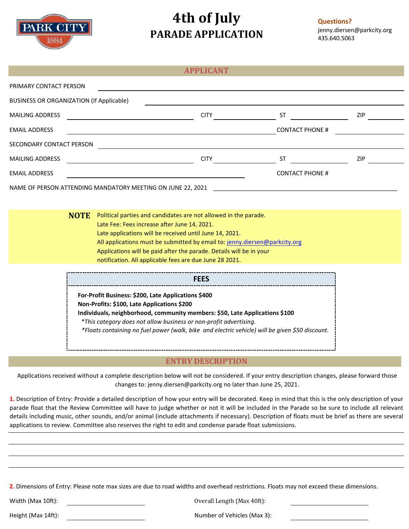

# **4th of July PARADE APPLICATION**

#### **Questions?**  [jenny.diersen@parkcity.org](mailto:jenny.diersen@parkcity.org) 435.640.5063

|                                                             | <b>APPLICANT</b> |                        |     |
|-------------------------------------------------------------|------------------|------------------------|-----|
| PRIMARY CONTACT PERSON                                      |                  |                        |     |
| BUSINESS OR ORGANIZATION (If Applicable)                    |                  |                        |     |
| <b>MAILING ADDRESS</b>                                      | <b>CITY</b>      | ST                     | ZIP |
| <b>EMAIL ADDRESS</b>                                        |                  | <b>CONTACT PHONE #</b> |     |
| SECONDARY CONTACT PERSON                                    |                  |                        |     |
| <b>MAILING ADDRESS</b>                                      | <b>CITY</b>      | ST                     | ZIP |
| <b>EMAIL ADDRESS</b>                                        |                  | <b>CONTACT PHONE #</b> |     |
| NAME OF PERSON ATTENDING MANDATORY MEETING ON JUNE 22, 2021 |                  |                        |     |
|                                                             |                  |                        |     |

**Political parties and candidates are not allowed in the parade.** Late Fee: Fees increase after June 14, 2021. Late applications will be received until June 14, 2021. All applications must be submitted by email to: [jenny.diersen@parkcity.org](mailto:jenny.diersen@parkcity.org) Applications will be paid after the parade. Details will be in your notification. All applicable fees are due June 28 2021.

> **For-Profit Business: \$200, Late Applications \$400 Non-Profits: \$100, Late Applications \$200 Individuals, neighborhood, community members: \$50, Late Applications \$100** *\*This category does not allow business or non-profit advertising. \*Floats containing no fuel power (walk, bike and electric vehicle) will be given \$50 discount.* **FEES**

# **ENTRY DESCRIPTION**

Applications received without a complete description below will not be considered. If your entry description changes, please forward those changes to: [jenny.diersen@parkcity.org](mailto:jenny.diersen@parkcity.org) no later than June 25, 2021.

**1.** Description of Entry: Provide a detailed description of how your entry will be decorated. Keep in mind that this is the only description of your parade float that the Review Committee will have to judge whether or not it will be included in the Parade so be sure to include all relevant details including music, other sounds, and/or animal (include attachments if necessary). Description of floats must be brief as there are several applications to review. Committee also reserves the right to edit and condense parade float submissions.

**2.** Dimensions of Entry: Please note max sizes are due to road widths and overhead restrictions. Floats may not exceed these dimensions.

Width (Max 10ft): Overall Length (Max 40ft):

Height (Max 14ft): Number of Vehicles (Max 3):